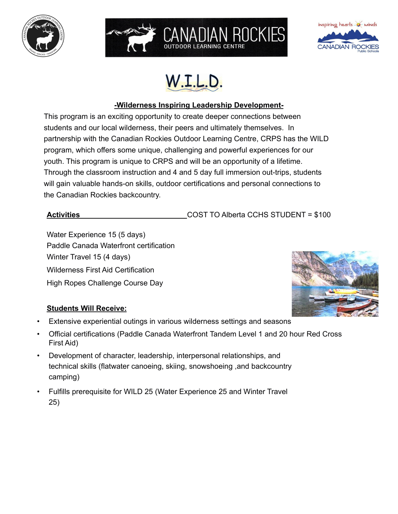





# **-Wilderness Inspiring Leadership Development-**

CANADIAN ROCKIES

This program is an exciting opportunity to create deeper connections between students and our local wilderness, their peers and ultimately themselves. In partnership with the Canadian Rockies Outdoor Learning Centre, CRPS has the WILD program, which offers some unique, challenging and powerful experiences for our youth. This program is unique to CRPS and will be an opportunity of a lifetime. Through the classroom instruction and 4 and 5 day full immersion out-trips, students will gain valuable hands-on skills, outdoor certifications and personal connections to the Canadian Rockies backcountry.

Activities **Activities** COST TO Alberta CCHS STUDENT = \$100

Water Experience 15 (5 days) Paddle Canada Waterfront certification Winter Travel 15 (4 days) Wilderness First Aid Certification High Ropes Challenge Course Day



# **Students Will Receive:**

- Extensive experiential outings in various wilderness settings and seasons
- Official certifications (Paddle Canada Waterfront Tandem Level 1 and 20 hour Red Cross First Aid)
- Development of character, leadership, interpersonal relationships, and technical skills (flatwater canoeing, skiing, snowshoeing ,and backcountry camping)
- Fulfills prerequisite for WILD 25 (Water Experience 25 and Winter Travel 25)